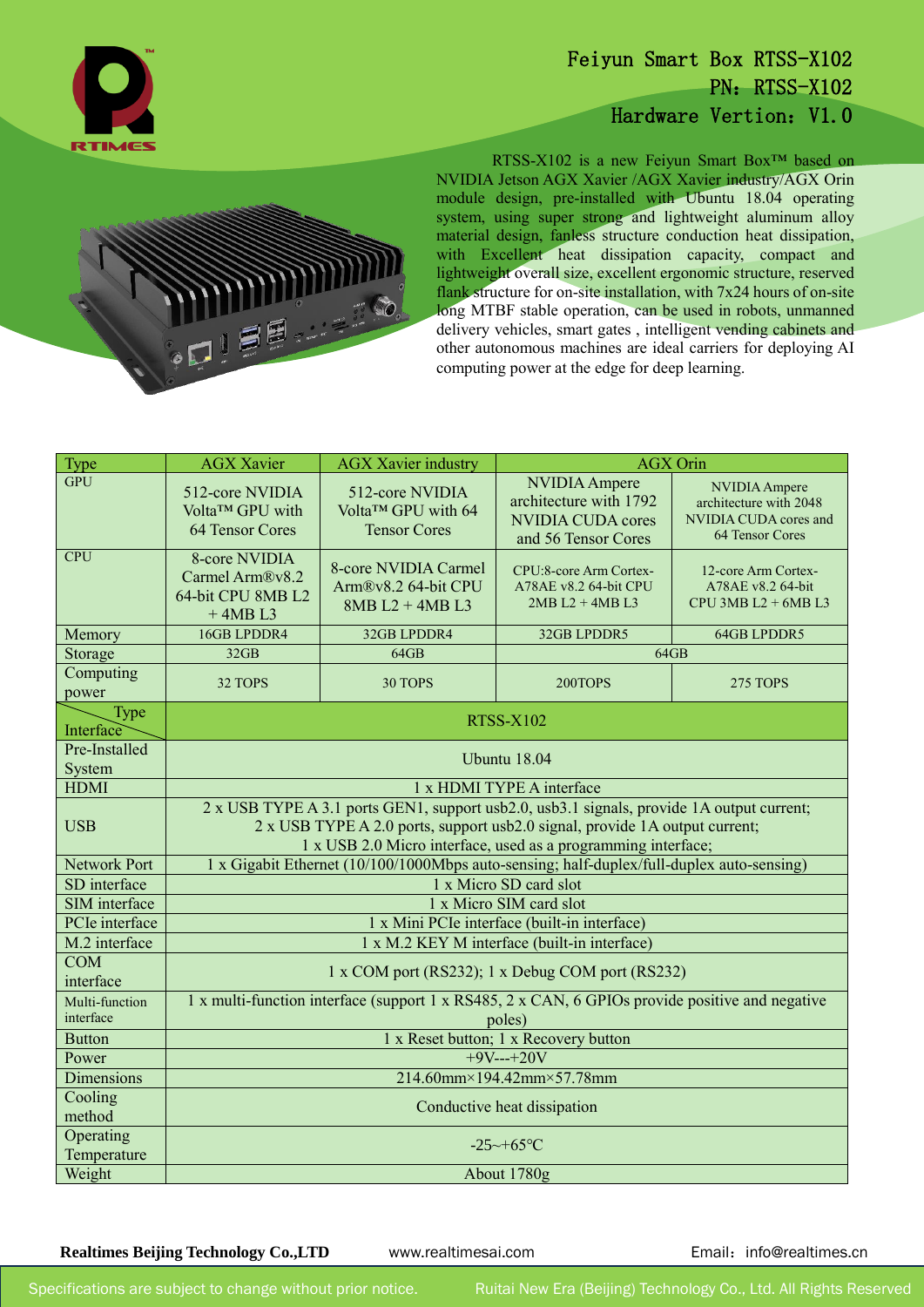

## Feiyun Smart Box RTSS-X102 PN: RTSS-X102 Hardware Vertion: V1.0



l

RTSS-X102 is a new Feiyun Smart Box™ based on NVIDIA Jetson AGX Xavier /AGX Xavier industry/AGX Orin module design, pre-installed with Ubuntu 18.04 operating system, using super strong and lightweight aluminum alloy material design, fanless structure conduction heat dissipation, with Excellent heat dissipation capacity, compact and lightweight overall size, excellent ergonomic structure, reserved flank structure for on-site installation, with  $7x24$  hours of on-site long MTBF stable operation, can be used in robots, unmanned delivery vehicles, smart gates , intelligent vending cabinets and other autonomous machines are ideal carriers for deploying AI computing power at the edge for deep learning.

| Type                        | <b>AGX Xavier</b>                                                                                                                                                                                                                         | <b>AGX Xavier industry</b>                                       | <b>AGX Orin</b>                                                                                   |                                                                                     |
|-----------------------------|-------------------------------------------------------------------------------------------------------------------------------------------------------------------------------------------------------------------------------------------|------------------------------------------------------------------|---------------------------------------------------------------------------------------------------|-------------------------------------------------------------------------------------|
| <b>GPU</b>                  | 512-core NVIDIA<br>Volta™ GPU with<br>64 Tensor Cores                                                                                                                                                                                     | 512-core NVIDIA<br>Volta™ GPU with 64<br><b>Tensor Cores</b>     | <b>NVIDIA</b> Ampere<br>architecture with 1792<br><b>NVIDIA CUDA cores</b><br>and 56 Tensor Cores | NVIDIA Ampere<br>architecture with 2048<br>NVIDIA CUDA cores and<br>64 Tensor Cores |
| <b>CPU</b>                  | 8-core NVIDIA<br>Carmel Arm®v8.2<br>64-bit CPU 8MB L2<br>$+4MBL3$                                                                                                                                                                         | 8-core NVIDIA Carmel<br>Arm®v8.2 64-bit CPU<br>$8MB L2 + 4MB L3$ | CPU:8-core Arm Cortex-<br>A78AE v8.2 64-bit CPU<br>$2MB L2 + 4MB L3$                              | 12-core Arm Cortex-<br>A78AE v8.2 64-bit<br>CPU 3MB $L2 + 6MB L3$                   |
| Memory                      | 16GB LPDDR4                                                                                                                                                                                                                               | 32GB LPDDR4                                                      | 32GB LPDDR5                                                                                       | <b>64GB LPDDR5</b>                                                                  |
| Storage                     | 32GB                                                                                                                                                                                                                                      | 64GB                                                             | 64GB                                                                                              |                                                                                     |
| Computing<br>power          | 32 TOPS                                                                                                                                                                                                                                   | 30 TOPS                                                          | 200TOPS                                                                                           | <b>275 TOPS</b>                                                                     |
| Type<br>Interface           | <b>RTSS-X102</b>                                                                                                                                                                                                                          |                                                                  |                                                                                                   |                                                                                     |
| Pre-Installed               | Ubuntu 18.04                                                                                                                                                                                                                              |                                                                  |                                                                                                   |                                                                                     |
| System                      |                                                                                                                                                                                                                                           |                                                                  |                                                                                                   |                                                                                     |
| <b>HDMI</b>                 | 1 x HDMI TYPE A interface                                                                                                                                                                                                                 |                                                                  |                                                                                                   |                                                                                     |
| <b>USB</b>                  | 2 x USB TYPE A 3.1 ports GEN1, support usb2.0, usb3.1 signals, provide 1A output current;<br>2 x USB TYPE A 2.0 ports, support usb2.0 signal, provide 1A output current;<br>1 x USB 2.0 Micro interface, used as a programming interface; |                                                                  |                                                                                                   |                                                                                     |
| <b>Network Port</b>         | 1 x Gigabit Ethernet (10/100/1000Mbps auto-sensing; half-duplex/full-duplex auto-sensing)                                                                                                                                                 |                                                                  |                                                                                                   |                                                                                     |
| SD interface                | 1 x Micro SD card slot                                                                                                                                                                                                                    |                                                                  |                                                                                                   |                                                                                     |
| SIM interface               | 1 x Micro SIM card slot                                                                                                                                                                                                                   |                                                                  |                                                                                                   |                                                                                     |
| PCIe interface              | 1 x Mini PCIe interface (built-in interface)                                                                                                                                                                                              |                                                                  |                                                                                                   |                                                                                     |
| M.2 interface               | 1 x M.2 KEY M interface (built-in interface)                                                                                                                                                                                              |                                                                  |                                                                                                   |                                                                                     |
| COM<br>interface            | 1 x COM port (RS232); 1 x Debug COM port (RS232)                                                                                                                                                                                          |                                                                  |                                                                                                   |                                                                                     |
| Multi-function<br>interface | 1 x multi-function interface (support 1 x RS485, 2 x CAN, 6 GPIOs provide positive and negative<br>poles)                                                                                                                                 |                                                                  |                                                                                                   |                                                                                     |
| <b>Button</b>               | 1 x Reset button; 1 x Recovery button                                                                                                                                                                                                     |                                                                  |                                                                                                   |                                                                                     |
| Power                       | $+9V---+20V$                                                                                                                                                                                                                              |                                                                  |                                                                                                   |                                                                                     |
| <b>Dimensions</b>           | 214.60mm×194.42mm×57.78mm                                                                                                                                                                                                                 |                                                                  |                                                                                                   |                                                                                     |
| Cooling<br>method           | Conductive heat dissipation                                                                                                                                                                                                               |                                                                  |                                                                                                   |                                                                                     |
| Operating<br>Temperature    | $-25 \sim +65$ °C                                                                                                                                                                                                                         |                                                                  |                                                                                                   |                                                                                     |
| Weight                      | About 1780g                                                                                                                                                                                                                               |                                                                  |                                                                                                   |                                                                                     |

**Realtimes Beijing Technology Co., LTD** www.realtimesai.com Email: info@realtimes.cn